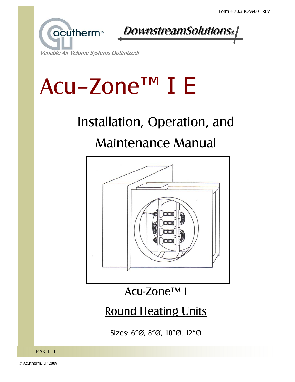



#### Variable Air Volume Systems Optimized!

# Acu-Zone™ I E

## Installation, Operation, and

## Maintenance Manual



## Acu-Zone<sup>™</sup> I

## Round Heating Units

Sizes: 6"Ø, 8"Ø, 10"Ø, 12"Ø

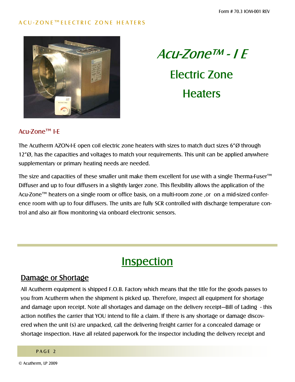#### ACU-ZONE™ELECTRIC ZONE HEATERS





#### Acu-Zone™ I-F

The Acutherm AZON-I-E open coil electric zone heaters with sizes to match duct sizes  $6\%$  through  $12^{\circ}$ , has the capacities and voltages to match your requirements. This unit can be applied anywhere supplementary or primary heating needs are needed.

The size and capacities of these smaller unit make them excellent for use with a single Therma-Fuser<sup> $m$ </sup> Diffuser and up to four diffusers in a slightly larger zone. This flexibility allows the application of the Acu-Zone™ heaters on a single room or office basis, on a multi-room zone ,or on a mid-sized conference room with up to four diffusers. The units are fully SCR controlled with discharge temperature control and also air flow monitoring via onboard electronic sensors.

## **Inspection**

#### Damage or Shortage

All Acutherm equipment is shipped F.O.B. Factory which means that the title for the goods passes to you from Acutherm when the shipment is picked up. Therefore, inspect all equipment for shortage and damage upon receipt. Note all shortages and damage on the delivery receipt—Bill of Lading - this action notifies the carrier that YOU intend to file a claim. If there is any shortage or damage discovered when the unit (s) are unpacked, call the delivering freight carrier for a concealed damage or shortage inspection. Have all related paperwork for the inspector including the delivery receipt and

#### PAGE<sub>2</sub>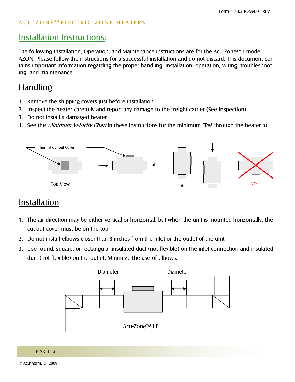## Installation Instructions:

The following Installation, Operation, and Maintenance instructions are for the Acu-Zone<sup>TM</sup> I model AZON. Please follow the instructions for a successful installation and do not discard. This document contains important information regarding the proper handling, installation, operation, wiring, troubleshooting, and maintenance.

## Handling

- 1. Remove the shipping covers just before installation
- 2. Inspect the heater carefully and report any damage to the freight carrier (See Inspection)
- 3. Do not install a damaged heater
- 4. See the *Minimum Velocity Chart* in these instructions for the minimum FPM through the heater to



## Installation

- 1. The air direction may be either vertical or horizontal, but when the unit is mounted horizontally, the cut-out cover must be on the top
- 2. Do not install elbows closer than 8 inches from the inlet or the outlet of the unit
- 3. Use round, square, or rectangular insulated duct (not flexible) on the inlet connection and insulated duct (not flexible) on the outlet. Minimize the use of elbows.

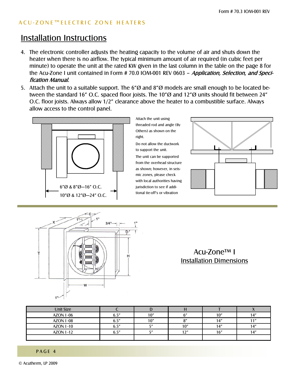#### ACU-ZONE™ELECTRIC ZONE HEATERS

## Installation Instructions

- 4. The electronic controller adjusts the heating capacity to the volume of air and shuts down the heater when there is no airflow. The typical minimum amount of air required (in cubic feet per minute) to operate the unit at the rated KW given in the last column in the table on the page 8 for the Acu-Zone I unit contained in Form # 70.0 IOM-001 REV 0603 - Application, Selection, and Specification Manual.
- 5. Attach the unit to a suitable support. The 6" $\varnothing$  and 8" $\varnothing$  models are small enough to be located between the standard 16" O.C. spaced floor joists. The 10" $\varnothing$  and 12" $\varnothing$  units should fit between 24" O.C. floor joists. Always allow 1/2" clearance above the heater to a combustible surface. Always allow access to the control panel.



Attach the unit using threaded rod and angle (By Others) as shown on the right.

Do not allow the ductwork to support the unit.

The unit can be supported from the overhead structure as shown; however, in seismic zones, please check with local authorities having jurisdiction to see if additional tie-off's or vibration





## Acu-Zone<sup>™</sup> I **Installation Dimensions**

| Unit Size        |       | IJ    |            |     |                  |
|------------------|-------|-------|------------|-----|------------------|
| <b>AZON 1-06</b> | 6 5″  | 10"   | $\epsilon$ | 10" | 1.1 <sup>n</sup> |
| <b>AZON 1-08</b> | 6.5'' | 10"   | $\Omega$   | 14" | 11 <sub>II</sub> |
| <b>AZON 1-10</b> | 6 5″  | F''   | 10"        | 14" | 11"              |
| <b>AZON 1-12</b> | ና ር″  | $-$ " | 1.7''      | 16" | 1.1 <sup>1</sup> |
|                  |       |       |            |     |                  |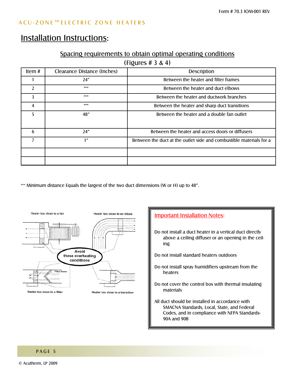## Installation Instructions:

#### Spacing requirements to obtain optimal operating conditions

(Figures # 3 & 4)

| Item#         | Clearance Distance (Inches) | <b>Description</b>                                                  |  |  |  |
|---------------|-----------------------------|---------------------------------------------------------------------|--|--|--|
|               | 24"                         | Between the heater and filter frames                                |  |  |  |
| $\mathcal{L}$ | ***                         | Between the heater and duct elbows                                  |  |  |  |
| 3             | ***                         | Between the heater and ductwork branches                            |  |  |  |
| 4             | ***                         | Between the heater and sharp duct transitions                       |  |  |  |
| 5             | 48"                         | Between the heater and a double fan outlet                          |  |  |  |
| 6             | 24"                         | Between the heater and access doors or diffusers                    |  |  |  |
|               | 1"                          | Between the duct at the outlet side and combustible materials for a |  |  |  |
|               |                             |                                                                     |  |  |  |
|               |                             |                                                                     |  |  |  |

\*\*\* Minimum distance Equals the largest of the two duct dimensions (W or H) up to 48".



## **Important Installation Notes:** Do not install a duct heater in a vertical duct directly above a ceiling diffuser or an opening in the ceiling Do not install standard heaters outdoors Do not install spray humidifiers upstream from the heaters Do not cover the control box with thermal insulating materials All duct should be installed in accordance with SMACNA Standards, Local, State, and Federal Codes, and in compliance with NFPA Standards-90A and 90B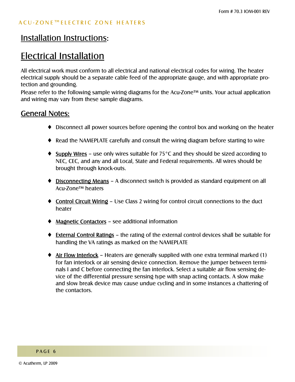## Electrical Installation

All electrical work must conform to all electrical and national electrical codes for wiring. The heater electrical supply should be a separate cable feed of the appropriate gauge, and with appropriate protection and grounding.

Please refer to the following sample wiring diagrams for the Acu-Zone<sup> $t$ M</sup> units. Your actual application and wiring may vary from these sample diagrams.

#### General Notes:

- ♦ Disconnect all power sources before opening the control box and working on the heater
- ♦ Read the NAMEPLATE carefully and consult the wiring diagram before starting to wire
- $\triangleq$  Supply Wires use only wires suitable for 75°C and they should be sized according to NEC, CEC, and any and all Local, State and Federal requirements. All wires should be brought through knock-outs.
- Disconnecting Means A disconnect switch is provided as standard equipment on all Acu-Zone<sup>™</sup> heaters
- Control Circuit Wiring Use Class 2 wiring for control circuit connections to the duct heater
- $\triangleleft$  Magnetic Contactors see additional information
- External Control Ratings the rating of the external control devices shall be suitable for handling the VA ratings as marked on the NAMEPLATE
- $\triangleq$  Air Flow Interlock Heaters are generally supplied with one extra terminal marked (1) for fan interlock or air sensing device connection. Remove the jumper between terminals I and C before connecting the fan interlock. Select a suitable air flow sensing device of the differential pressure sensing type with snap acting contacts. A slow make and slow break device may cause undue cycling and in some instances a chattering of the contactors.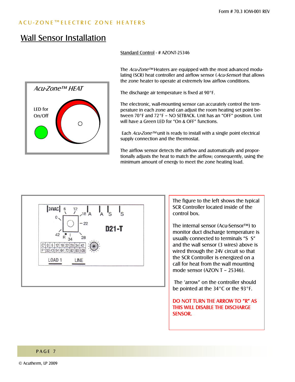#### ACU-ZONE™ELECTRIC ZONE HEATERS

## Wall Sensor Installation



Standard Control - # AZONT-25346

The  $Acu$ -Zone<sup> $\tau$ M</sup> Heaters are equipped with the most advanced modulating (SCR) heat controller and airflow sensor (Acu-Sensor) that allows the zone heater to operate at extremely low airflow conditions.

The discharge air temperature is fixed at 90°F.

The electronic, wall-mounting sensor can accurately control the temperature in each zone and can adjust the room heating set point between  $70^{\circ}$ F and  $72^{\circ}$ F – NO SETBACK. Unit has an "OFF" position. Unit will have a Green LED for  $\degree$ On & OFF $\degree$  functions.

Each  $Acu$ -Zone<sup>TM</sup> unit is ready to install with a single point electrical supply connection and the thermostat.

The airflow sensor detects the airflow and automatically and proportionally adjusts the heat to match the airflow; consequently, using the minimum amount of energy to meet the zone heating load.



The figure to the left shows the typical SCR Controller located inside of the control box.

The internal sensor (Acu-Sensor™) to monitor duct discharge temperature is usually connected to terminals "S S" and the wall sensor (3 wires) above is wired through the 24V circuit so that the SCR Controller is energized on a call for heat from the wall mounting mode sensor  $(AZONT - 25346)$ .

The 'arrow" on the controller should be pointed at the 34°C or the 93°F.

DO NOT TURN THE ARROW TO "R" AS THIS WILL DISABLE THE DISCHARGE SENSOR.

#### PAGE 7

© Acutherm, LP 2009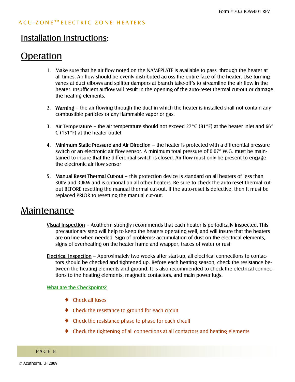## Operation

- 1. Make sure that he air flow noted on the NAMEPLATE is available to pass through the heater at all times. Air flow should be evenly distributed across the entire face of the heater. Use turning vanes at duct elbows and splitter dampers at branch take-off's to streamline the air flow in the heater. Insufficient airflow will result in the opening of the auto-reset thermal cut-out or damage the heating elements.
- 2. Warning  $\overline{a}$  the air flowing through the duct in which the heater is installed shall not contain any combustible particles or any flammable vapor or gas.
- 3. Air Temperature the air temperature should not exceed 27°C (81°F) at the heater inlet and 66° C (151°F) at the heater outlet
- 4. Minimum Static Pressure and Air Direction the heater is protected with a differential pressure switch or an electronic air flow sensor. A minimum total pressure of 0.07" W.G. must be maintained to insure that the differential switch is closed. Air flow must only be present to engage the electronic air flow sensor
- 5. Manual Reset Thermal Cut-out this protection device is standard on all heaters of less than 300V and 30KW and is optional on all other heaters. Be sure to check the auto-reset thermal cutout BEFORE resetting the manual thermal cut-out. If the auto-reset is defective, then it must be replaced PRIOR to resetting the manual cut-out.

## Maintenance

- Visual Inspection Acutherm strongly recommends that each heater is periodically inspected. This precautionary step will help to keep the heaters operating well, and will insure that the heaters are on-line when needed. Sign of problems: accumulation of dust on the electrical elements, signs of overheating on the heater frame and wrapper, traces of water or rust
- Electrical Inspection Approximately two weeks after start-up, all electrical connections to contactors should be checked and tightened up. Before each heating season, check the resistance between the heating elements and ground. It is also recommended to check the electrical connections to the heating elements, magnetic contactors, and main power lugs.

#### What are the Checkpoints?

- ♦ Check all fuses
- ♦ Check the resistance to ground for each circuit
- ♦ Check the resistance phase to phase for each circuit
- ♦ Check the tightening of all connections at all contactors and heating elements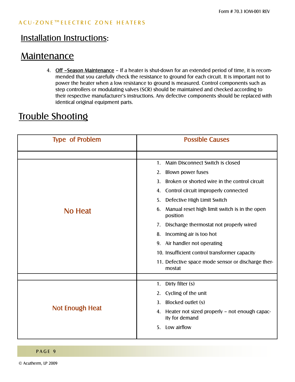## **Maintenance**

4. Off -Season Maintenance - If a heater is shut-down for an extended period of time, it is recommended that you carefully check the resistance to ground for each circuit. It is important not to power the heater when a low resistance to ground is measured. Control components such as step controllers or modulating valves (SCR) should be maintained and checked according to their respective manufacturer's instructions. Any defective components should be replaced with identical original equipment parts.

## Trouble Shooting

| <b>Type of Problem</b> | <b>Possible Causes</b>                                                |  |  |  |  |
|------------------------|-----------------------------------------------------------------------|--|--|--|--|
|                        |                                                                       |  |  |  |  |
|                        | Main Disconnect Switch is closed<br>1.                                |  |  |  |  |
|                        | Blown power fuses<br>2.                                               |  |  |  |  |
|                        | Broken or shorted wire in the control circuit<br>3.                   |  |  |  |  |
|                        | Control circuit improperly connected<br>4.                            |  |  |  |  |
|                        | Defective High Limit Switch<br>5.                                     |  |  |  |  |
| <b>No Heat</b>         | Manual reset high limit switch is in the open<br>6.<br>position       |  |  |  |  |
|                        | Discharge thermostat not properly wired<br>7.                         |  |  |  |  |
|                        | Incoming air is too hot<br>8.                                         |  |  |  |  |
|                        | Air handler not operating<br>9.                                       |  |  |  |  |
|                        | 10. Insufficient control transformer capacity                         |  |  |  |  |
|                        | 11. Defective space mode sensor or discharge ther-<br>mostat          |  |  |  |  |
|                        |                                                                       |  |  |  |  |
|                        | Dirty filter (s)<br>1.                                                |  |  |  |  |
|                        | Cycling of the unit<br>2.                                             |  |  |  |  |
|                        | Blocked outlet (s)<br>3.                                              |  |  |  |  |
| Not Enough Heat        | Heater not sized properly - not enough capac-<br>4.<br>ity for demand |  |  |  |  |
|                        | Low airflow<br>5 <sub>1</sub>                                         |  |  |  |  |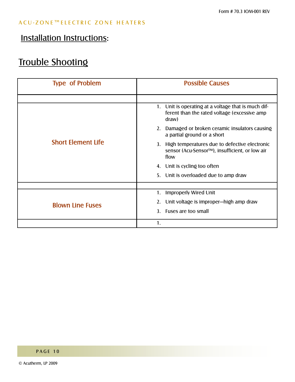## Installation Instructions:

## Trouble Shooting

| <b>Type of Problem</b>    | <b>Possible Causes</b>                                                                                        |  |  |  |
|---------------------------|---------------------------------------------------------------------------------------------------------------|--|--|--|
|                           |                                                                                                               |  |  |  |
|                           | 1. Unit is operating at a voltage that is much dif-<br>ferent than the rated voltage (excessive amp<br>draw)  |  |  |  |
|                           | Damaged or broken ceramic insulators causing<br>2.<br>a partial ground or a short                             |  |  |  |
| <b>Short Element Life</b> | High temperatures due to defective electronic<br>3.<br>sensor (Acu-Sensor™), insufficient, or low air<br>flow |  |  |  |
|                           | Unit is cycling too often<br>4.                                                                               |  |  |  |
|                           | Unit is overloaded due to amp draw<br>5.                                                                      |  |  |  |
|                           |                                                                                                               |  |  |  |
|                           | Improperly Wired Unit<br>1.                                                                                   |  |  |  |
| <b>Blown Line Fuses</b>   | Unit voltage is improper-high amp draw<br>2.                                                                  |  |  |  |
|                           | Fuses are too small<br>3.                                                                                     |  |  |  |
|                           | 1.                                                                                                            |  |  |  |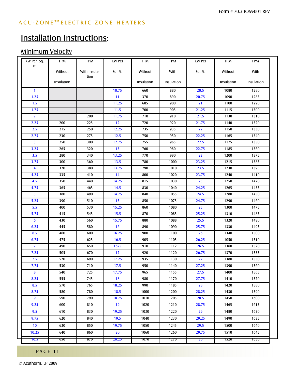## Minimum Velocity

| KW Per Sq.<br>Ft.       | <b>FPM</b> | <b>FPM</b>           | <b>KW Per</b> | <b>FPM</b> | <b>FPM</b> | <b>KW Per</b>   | <b>FPM</b> | <b>FPM</b> |
|-------------------------|------------|----------------------|---------------|------------|------------|-----------------|------------|------------|
|                         | Without    | With Insula-<br>tion | Sq. Ft.       | Without    | With       | Sq. Ft.         | Without    | With       |
|                         | Insulation |                      |               | Insulation | Insulation |                 | Insulation | Insulation |
| $\mathbf{1}$            |            |                      | 10.75         | 660        | 880        | 20.5            | 1080       | 1280       |
| 1.25                    |            |                      | 11            | 370        | 890        | 20.75           | 1090       | 1285       |
| 1.5                     |            |                      | 11.25         | 685        | 900        | 21              | 1100       | 1290       |
| 1.75                    |            |                      | 11.5          | 700        | 905        | 21.25           | 1115       | 1300       |
| $\overline{2}$          |            | 200                  | 11.75         | 710        | 910        | 21.5            | 1130       | 1310       |
| 2.25                    | 200        | 225                  | 12            | 720        | 920        | 21.75           | 1140       | 1320       |
| 2.5                     | 215        | 250                  | 12.25         | 735        | 935        | $\overline{22}$ | 1150       | 1330       |
| 2.75                    | 230        | 275                  | 12.5          | 750        | 950        | 22.25           | 1165       | 1340       |
| $\overline{\mathbf{3}}$ | 250        | 300                  | 12.75         | 755        | 965        | 22.5            | 1175       | 1350       |
| 3.25                    | 265        | 320                  | 13            | 760        | 980        | 22.75           | 1185       | 1360       |
| 3.5                     | 280        | 340                  | 13.25         | 770        | 990        | 23              | 1200       | 1375       |
| 3.75                    | 300        | 360                  | 13.5          | 780        | 1000       | 23.25           | 1215       | 1385       |
| $\overline{\mathbf{4}}$ | 320        | 380                  | 13.75         | 790        | 1010       | 23.5            | 1230       | 1395       |
| 4.25                    | 335        | 410                  | 14            | 800        | 1020       | 23.75           | 1240       | 1410       |
| 4.5                     | 350        | 440                  | 14.25         | 815        | 1030       | 25              | 1250       | 1420       |
| 4.75                    | 365        | 465                  | 14.5          | 830        | 1040       | 24.25           | 1265       | 1435       |
| 5 <sup>5</sup>          | 380        | 490                  | 14.75         | 840        | 1055       | 24.5            | 1280       | 1450       |
| 5.25                    | 390        | 510                  | 15            | 850        | 1075       | 24.75           | 1290       | 1460       |
| 5.5                     | 400        | 530                  | 15.25         | 860        | 1080       | 25              | 1300       | 1475       |
| 5.75                    | 415        | 545                  | 15.5          | 870        | 1085       | 25.25           | 1310       | 1485       |
| $6\phantom{1}6$         | 430        | 560                  | 15.75         | 880        | 1088       | 25.5            | 1320       | 1490       |
| 6.25                    | 445        | 580                  | 16            | 890        | 1090       | 25.75           | 1330       | 1495       |
| 6.5                     | 460        | 600                  | 16.25         | 900        | 1100       | 26              | 1340       | 1500       |
| 6.75                    | 475        | 625                  | 16.5          | 905        | 1105       | 26.25           | 1050       | 1510       |
| $\overline{7}$          | 490        | 650                  | 1675          | 910        | 1112       | 26.5            | 1360       | 1520       |
| 7.25                    | 505        | 670                  | 17            | 920        | 1120       | 26.75           | 1370       | 1535       |
| 7.5                     | 520        | 690                  | 17.25         | 935        | 1130       | 27              | 1380       | 1550       |
| 7.75                    | 530        | 710                  | 17.5          | 950        | 1140       | 27.25           | 1390       | 1560       |
| 8                       | 540        | 725                  | 17.75         | 965        | 1155       | 27.5            | 1400       | 1565       |
| 8.25                    | 555        | 745                  | 18            | 980        | 1170       | 27.75           | 1410       | 1570       |
| 8.5                     | 570        | 765                  | 18.25         | 990        | 1185       | 28              | 1420       | 1580       |
| 8.75                    | 580        | 780                  | 18.5          | 1000       | 1200       | 28.25           | 1430       | 1590       |
| 9                       | 590        | 790                  | 18.75         | 1010       | 1205       | 28.5            | 1450       | 1600       |
| 9.25                    | 600        | 810                  | 19            | 1020       | 1210       | 28.75           | 1465       | 1615       |
| 9.5                     | 610        | 830                  | 19.25         | 1030       | 1220       | 29              | 1480       | 1630       |
| 9.75                    | 620        | 840                  | 19.5          | 1040       | 1230       | 29.25           | 1490       | 1635       |
| 10                      | 630        | 850                  | 19.75         | 1050       | 1245       | 29.5            | 1500       | 1640       |
| 10.25                   | 640        | 860                  | 20            | 1060       | 1260       | 29.75           | 1510       | 1645       |
|                         |            |                      |               |            |            |                 |            |            |
| 10.5                    | 650        | 870                  | 20.25         | 1070       | 1270       | 30 <sub>1</sub> | 1520       | 1650       |